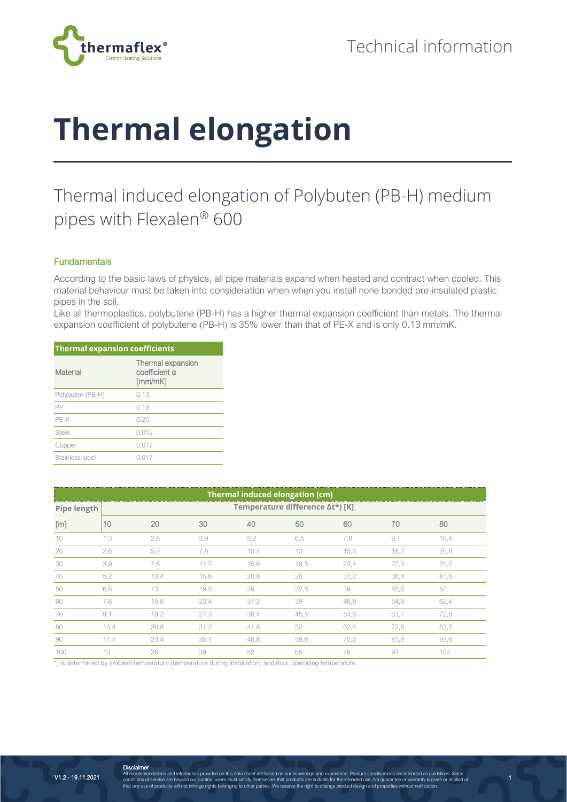

## **Thermal elongation**

## Thermal induced elongation of Polybuten (PB-H) medium pipes with Flexalen® 600

## **Fundamentals**

According to the basic laws of physics, all pipe materials expand when heated and contract when cooled. This material behaviour must be taken into consideration when when you install none bonded pre-insulated plastic pipes in the soil.

Like all thermoplastics, polybutene (PB-H) has a higher thermal expansion coefficient than metals. The thermal expansion coefficient of polybutene (PB-H) is 35% lower than that of PE-X and is only 0.13 mm/mK.

| <b>Thermal expansion coefficients</b> |                                               |  |  |  |
|---------------------------------------|-----------------------------------------------|--|--|--|
| Material                              | Thermal expansion<br>coefficient a<br>[mm/mK] |  |  |  |
| Polybuten (PB-H)                      | 0,13                                          |  |  |  |
| PP                                    | 0.18                                          |  |  |  |
| PE-X                                  | 0.20                                          |  |  |  |
| Steel                                 | 0.012                                         |  |  |  |
| Copper                                | 0.017                                         |  |  |  |
| Stainless steel                       | 0.017                                         |  |  |  |

| <b>Thermal induced elongation [cm]</b> |                                 |      |      |      |      |      |      |      |
|----------------------------------------|---------------------------------|------|------|------|------|------|------|------|
| Pipe length                            | Temperature difference ∆t*) [K] |      |      |      |      |      |      |      |
| [m]                                    | 10                              | 20   | 30   | 40   | 50   | 60   | 70   | 80   |
| 10                                     | 1,3                             | 2,6  | 3,9  | 5,2  | 6,5  | 7,8  | 9,1  | 10,4 |
| 20                                     | 2,6                             | 5,2  | 7,8  | 10,4 | 13   | 15,6 | 18,2 | 20,8 |
| 30                                     | 3,9                             | 7,8  | 11,7 | 15,6 | 19,5 | 23,4 | 27,3 | 31,2 |
| 40                                     | 5,2                             | 10,4 | 15,6 | 20,8 | 26   | 31,2 | 36,4 | 41,6 |
| 50                                     | 6,5                             | 13   | 19,5 | 26   | 32,5 | 39   | 45,5 | 52   |
| 60                                     | 7,8                             | 15,8 | 23,4 | 31,2 | 39   | 46,8 | 54,6 | 62,4 |
| 70                                     | 9,1                             | 18,2 | 27,3 | 36,4 | 45,5 | 54,6 | 63,7 | 72,8 |
| 80                                     | 10,4                            | 20,8 | 31,2 | 41,6 | 52   | 62,4 | 72,8 | 83,2 |
| 90                                     | 11,7                            | 23,4 | 35,1 | 46,8 | 58,8 | 70,2 | 81,9 | 93,6 |
| $100 -$                                | 13                              | 26   | 39   | 52   | 65   | 78   | 91   | 104  |

\*) is determined by ambient temperature (temperature during installation) and max. operating temperature

1